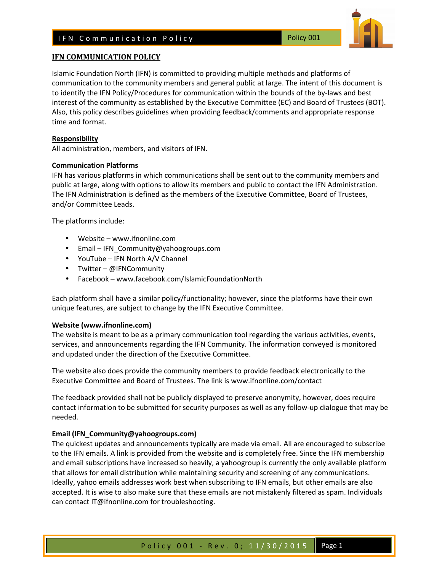

Islamic Foundation North (IFN) is committed to providing multiple methods and platforms of communication to the community members and general public at large. The intent of this document is to identify the IFN Policy/Procedures for communication within the bounds of the by-laws and best interest of the community as established by the Executive Committee (EC) and Board of Trustees (BOT). Also, this policy describes guidelines when providing feedback/comments and appropriate response time and format.

#### **Responsibility**

All administration, members, and visitors of IFN.

#### **Communication Platforms**

IFN has various platforms in which communications shall be sent out to the community members and public at large, along with options to allow its members and public to contact the IFN Administration. The IFN Administration is defined as the members of the Executive Committee, Board of Trustees, and/or Committee Leads.

The platforms include:

- Website www.ifnonline.com
- Email IFN\_Community@yahoogroups.com
- YouTube IFN North A/V Channel
- Twitter @IFNCommunity
- Facebook www.facebook.com/IslamicFoundationNorth

Each platform shall have a similar policy/functionality; however, since the platforms have their own unique features, are subject to change by the IFN Executive Committee.

#### **Website (www.ifnonline.com)**

The website is meant to be as a primary communication tool regarding the various activities, events, services, and announcements regarding the IFN Community. The information conveyed is monitored and updated under the direction of the Executive Committee.

The website also does provide the community members to provide feedback electronically to the Executive Committee and Board of Trustees. The link is www.ifnonline.com/contact

The feedback provided shall not be publicly displayed to preserve anonymity, however, does require contact information to be submitted for security purposes as well as any follow-up dialogue that may be needed.

#### **Email (IFN\_Community@yahoogroups.com)**

The quickest updates and announcements typically are made via email. All are encouraged to subscribe to the IFN emails. A link is provided from the website and is completely free. Since the IFN membership and email subscriptions have increased so heavily, a yahoogroup is currently the only available platform that allows for email distribution while maintaining security and screening of any communications. Ideally, yahoo emails addresses work best when subscribing to IFN emails, but other emails are also accepted. It is wise to also make sure that these emails are not mistakenly filtered as spam. Individuals can contact IT@ifnonline.com for troubleshooting.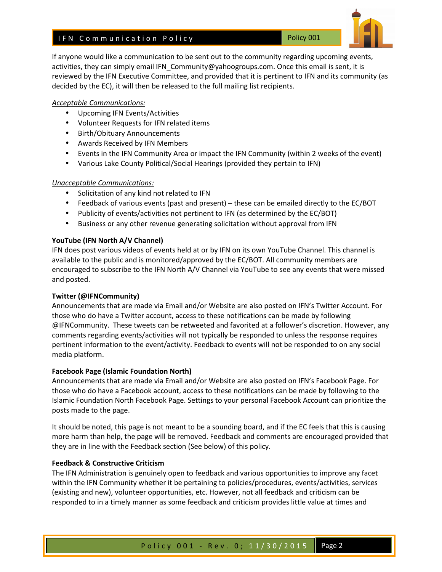# IFN Communication Policy Noted that the North Policy 001

If anyone would like a communication to be sent out to the community regarding upcoming events, activities, they can simply email IFN\_Community@yahoogroups.com. Once this email is sent, it is reviewed by the IFN Executive Committee, and provided that it is pertinent to IFN and its community (as decided by the EC), it will then be released to the full mailing list recipients.

## *Acceptable Communications:*

- Upcoming IFN Events/Activities
- Volunteer Requests for IFN related items
- Birth/Obituary Announcements
- Awards Received by IFN Members
- Events in the IFN Community Area or impact the IFN Community (within 2 weeks of the event)
- Various Lake County Political/Social Hearings (provided they pertain to IFN)

## *Unacceptable Communications:*

- Solicitation of any kind not related to IFN
- Feedback of various events (past and present) these can be emailed directly to the EC/BOT
- Publicity of events/activities not pertinent to IFN (as determined by the EC/BOT)
- Business or any other revenue generating solicitation without approval from IFN

## **YouTube (IFN North A/V Channel)**

IFN does post various videos of events held at or by IFN on its own YouTube Channel. This channel is available to the public and is monitored/approved by the EC/BOT. All community members are encouraged to subscribe to the IFN North A/V Channel via YouTube to see any events that were missed and posted.

## **Twitter (@IFNCommunity)**

Announcements that are made via Email and/or Website are also posted on IFN's Twitter Account. For those who do have a Twitter account, access to these notifications can be made by following @IFNCommunity. These tweets can be retweeted and favorited at a follower's discretion. However, any comments regarding events/activities will not typically be responded to unless the response requires pertinent information to the event/activity. Feedback to events will not be responded to on any social media platform.

## **Facebook Page (Islamic Foundation North)**

Announcements that are made via Email and/or Website are also posted on IFN's Facebook Page. For those who do have a Facebook account, access to these notifications can be made by following to the Islamic Foundation North Facebook Page. Settings to your personal Facebook Account can prioritize the posts made to the page.

It should be noted, this page is not meant to be a sounding board, and if the EC feels that this is causing more harm than help, the page will be removed. Feedback and comments are encouraged provided that they are in line with the Feedback section (See below) of this policy.

# **Feedback & Constructive Criticism**

The IFN Administration is genuinely open to feedback and various opportunities to improve any facet within the IFN Community whether it be pertaining to policies/procedures, events/activities, services (existing and new), volunteer opportunities, etc. However, not all feedback and criticism can be responded to in a timely manner as some feedback and criticism provides little value at times and